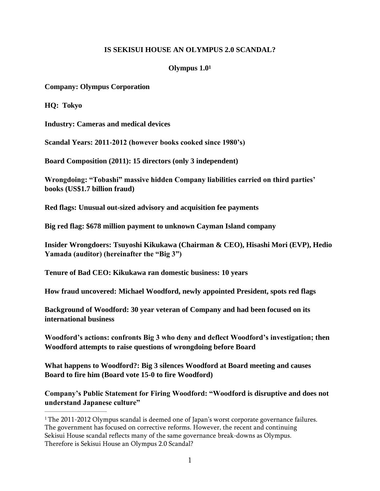## **IS SEKISUI HOUSE AN OLYMPUS 2.0 SCANDAL?**

## <span id="page-0-1"></span>**Olympus 1.0[1](#page-0-0)**

**Company: Olympus Corporation** 

**HQ: Tokyo**

**Industry: Cameras and medical devices**

**Scandal Years: 2011-2012 (however books cooked since 1980's)** 

**Board Composition (2011): 15 directors (only 3 independent)**

**Wrongdoing: "Tobashi" massive hidden Company liabilities carried on third parties' books (US\$1.7 billion fraud)**

**Red flags: Unusual out-sized advisory and acquisition fee payments**

**Big red flag: \$678 million payment to unknown Cayman Island company**

**Insider Wrongdoers: Tsuyoshi Kikukawa (Chairman & CEO), Hisashi Mori (EVP), Hedio Yamada (auditor) (hereinafter the "Big 3")**

**Tenure of Bad CEO: Kikukawa ran domestic business: 10 years**

**How fraud uncovered: Michael Woodford, newly appointed President, spots red flags**

**Background of Woodford: 30 year veteran of Company and had been focused on its international business**

**Woodford's actions: confronts Big 3 who deny and deflect Woodford's investigation; then Woodford attempts to raise questions of wrongdoing before Board**

**What happens to Woodford?: Big 3 silences Woodford at Board meeting and causes Board to fire him (Board vote 15-0 to fire Woodford)**

**Company's Public Statement for Firing Woodford: "Woodford is disruptive and does not understand Japanese culture"**

<span id="page-0-0"></span><sup>&</sup>lt;sup>[1](#page-0-1)</sup> The 2011-2012 Olympus scandal is deemed one of Japan's worst corporate governance failures. The government has focused on corrective reforms. However, the recent and continuing Sekisui House scandal reflects many of the same governance break-downs as Olympus. Therefore is Sekisui House an Olympus 2.0 Scandal?